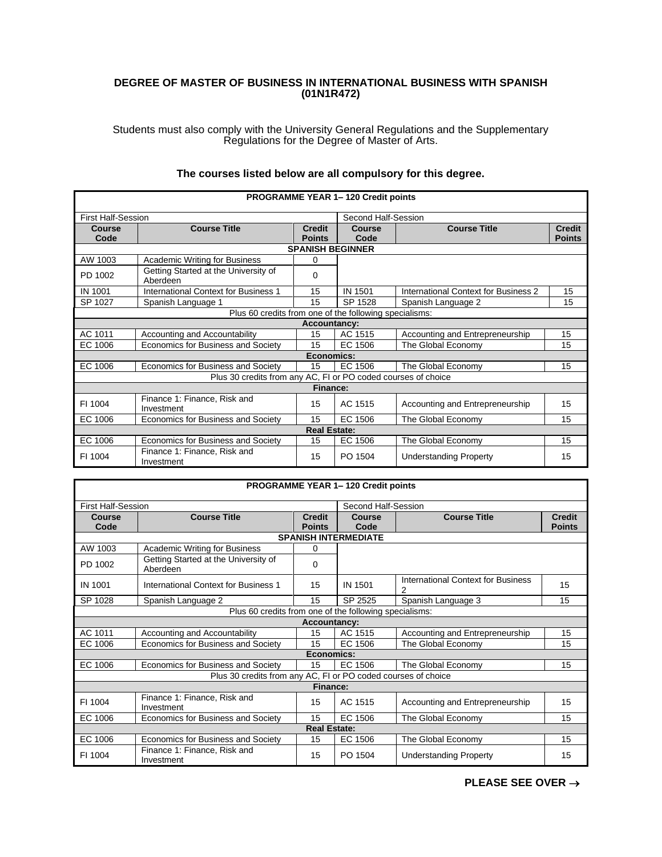## **DEGREE OF MASTER OF BUSINESS IN INTERNATIONAL BUSINESS WITH SPANISH (01N1R472)**

Students must also comply with the University General Regulations and the Supplementary Regulations for the Degree of Master of Arts.

| PROGRAMME YEAR 1-120 Credit points |                                                               |                                |                         |                                      |                                |  |
|------------------------------------|---------------------------------------------------------------|--------------------------------|-------------------------|--------------------------------------|--------------------------------|--|
| <b>First Half-Session</b>          |                                                               |                                | Second Half-Session     |                                      |                                |  |
| <b>Course</b><br>Code              | <b>Course Title</b>                                           | <b>Credit</b><br><b>Points</b> | Course<br>Code          | <b>Course Title</b>                  | <b>Credit</b><br><b>Points</b> |  |
|                                    |                                                               |                                | <b>SPANISH BEGINNER</b> |                                      |                                |  |
| AW 1003                            | <b>Academic Writing for Business</b>                          | 0                              |                         |                                      |                                |  |
| PD 1002                            | Getting Started at the University of<br>Aberdeen              | 0                              |                         |                                      |                                |  |
| <b>IN 1001</b>                     | <b>International Context for Business 1</b>                   | 15                             | <b>IN 1501</b>          | International Context for Business 2 | 15                             |  |
| SP 1027                            | Spanish Language 1                                            | 15                             | SP 1528                 | Spanish Language 2                   | 15                             |  |
|                                    | Plus 60 credits from one of the following specialisms:        |                                |                         |                                      |                                |  |
|                                    |                                                               | <b>Accountancy:</b>            |                         |                                      |                                |  |
| AC 1011                            | Accounting and Accountability                                 | 15                             | AC 1515                 | Accounting and Entrepreneurship      | 15                             |  |
| EC 1006                            | Economics for Business and Society                            | 15                             | EC 1506                 | The Global Economy                   | 15                             |  |
|                                    |                                                               | Economics:                     |                         |                                      |                                |  |
| EC 1006                            | Economics for Business and Society                            | 15                             | EC 1506                 | The Global Economy                   | 15                             |  |
|                                    | Plus 30 credits from any AC. FI or PO coded courses of choice |                                |                         |                                      |                                |  |
|                                    |                                                               | Finance:                       |                         |                                      |                                |  |
| FI 1004                            | Finance 1: Finance, Risk and<br>Investment                    | 15                             | AC 1515                 | Accounting and Entrepreneurship      | 15                             |  |
| EC 1006                            | Economics for Business and Society                            | 15                             | EC 1506                 | The Global Economy                   | 15                             |  |
|                                    |                                                               | <b>Real Estate:</b>            |                         |                                      |                                |  |
| EC 1006                            | Economics for Business and Society                            | 15                             | EC 1506                 | The Global Economy                   | 15                             |  |
| FI 1004                            | Finance 1: Finance, Risk and<br>Investment                    | 15                             | PO 1504                 | <b>Understanding Property</b>        | 15                             |  |

## **The courses listed below are all compulsory for this degree.**

| <b>PROGRAMME YEAR 1-120 Credit points</b> |                                                               |                                |                             |                                         |                                |  |
|-------------------------------------------|---------------------------------------------------------------|--------------------------------|-----------------------------|-----------------------------------------|--------------------------------|--|
| <b>First Half-Session</b>                 |                                                               |                                | Second Half-Session         |                                         |                                |  |
| Course<br>Code                            | <b>Course Title</b>                                           | <b>Credit</b><br><b>Points</b> | Course<br>Code              | <b>Course Title</b>                     | <b>Credit</b><br><b>Points</b> |  |
|                                           |                                                               |                                | <b>SPANISH INTERMEDIATE</b> |                                         |                                |  |
| AW 1003                                   | <b>Academic Writing for Business</b>                          | 0                              |                             |                                         |                                |  |
| PD 1002                                   | Getting Started at the University of<br>Aberdeen              | $\Omega$                       |                             |                                         |                                |  |
| IN 1001                                   | International Context for Business 1                          | 15                             | IN 1501                     | International Context for Business<br>2 | 15                             |  |
| SP 1028                                   | Spanish Language 2                                            | 15                             | SP 2525                     | Spanish Language 3                      | 15                             |  |
|                                           | Plus 60 credits from one of the following specialisms:        |                                |                             |                                         |                                |  |
|                                           |                                                               | <b>Accountancy:</b>            |                             |                                         |                                |  |
| AC 1011                                   | Accounting and Accountability                                 | 15                             | AC 1515                     | Accounting and Entrepreneurship         | 15                             |  |
| EC 1006                                   | Economics for Business and Society                            | 15                             | EC 1506                     | The Global Economy                      | 15                             |  |
|                                           |                                                               | Economics:                     |                             |                                         |                                |  |
| EC 1006                                   | Economics for Business and Society                            | 15                             | EC 1506                     | The Global Economy                      | 15                             |  |
|                                           | Plus 30 credits from any AC, FI or PO coded courses of choice |                                |                             |                                         |                                |  |
|                                           |                                                               | Finance:                       |                             |                                         |                                |  |
| FI 1004                                   | Finance 1: Finance, Risk and<br>Investment                    | 15                             | AC 1515                     | Accounting and Entrepreneurship         | 15                             |  |
| EC 1006                                   | Economics for Business and Society                            | 15                             | EC 1506                     | The Global Economy                      | 15                             |  |
|                                           |                                                               | <b>Real Estate:</b>            |                             |                                         |                                |  |
| EC 1006                                   | Economics for Business and Society                            | 15                             | EC 1506                     | The Global Economy                      | 15                             |  |
| FI 1004                                   | Finance 1: Finance, Risk and<br>Investment                    | 15                             | PO 1504                     | <b>Understanding Property</b>           | 15                             |  |

**PLEASE SEE OVER** →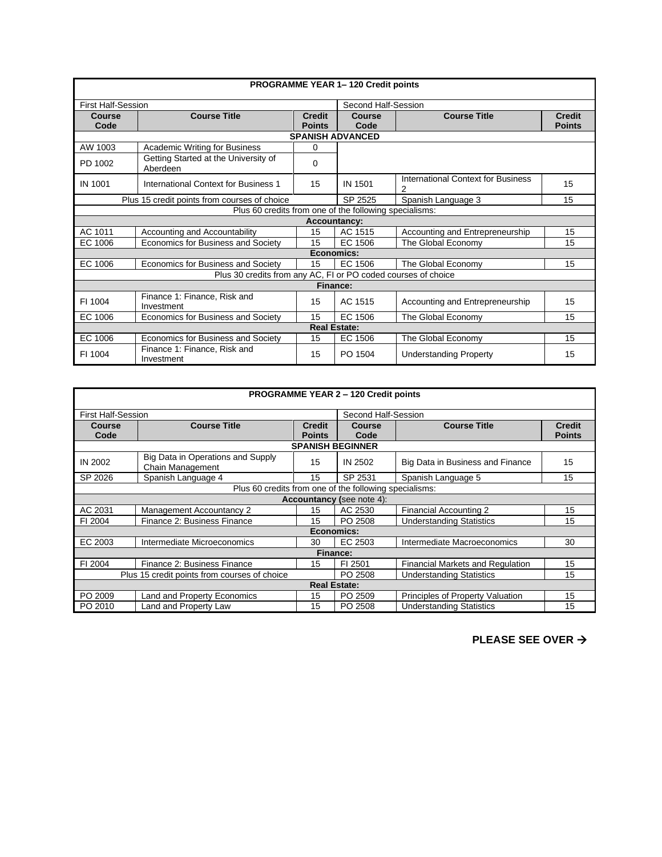| PROGRAMME YEAR 1-120 Credit points |                                                               |                                |                         |                                         |                                |  |  |
|------------------------------------|---------------------------------------------------------------|--------------------------------|-------------------------|-----------------------------------------|--------------------------------|--|--|
| <b>First Half-Session</b>          |                                                               |                                | Second Half-Session     |                                         |                                |  |  |
| Course<br>Code                     | <b>Course Title</b>                                           | <b>Credit</b><br><b>Points</b> | Course<br>Code          | <b>Course Title</b>                     | <b>Credit</b><br><b>Points</b> |  |  |
|                                    |                                                               |                                | <b>SPANISH ADVANCED</b> |                                         |                                |  |  |
| AW 1003                            | Academic Writing for Business                                 | 0                              |                         |                                         |                                |  |  |
| PD 1002                            | Getting Started at the University of<br>Aberdeen              | 0                              |                         |                                         |                                |  |  |
| IN 1001                            | International Context for Business 1                          | 15                             | IN 1501                 | International Context for Business<br>2 | 15                             |  |  |
|                                    | Plus 15 credit points from courses of choice                  |                                | SP 2525                 | Spanish Language 3                      | 15                             |  |  |
|                                    | Plus 60 credits from one of the following specialisms:        |                                |                         |                                         |                                |  |  |
|                                    |                                                               |                                | <b>Accountancy:</b>     |                                         |                                |  |  |
| AC 1011                            | Accounting and Accountability                                 | 15                             | AC 1515                 | Accounting and Entrepreneurship         | 15                             |  |  |
| EC 1006                            | Economics for Business and Society                            | 15                             | EC 1506                 | The Global Economy                      | 15                             |  |  |
|                                    |                                                               | Economics:                     |                         |                                         |                                |  |  |
| EC 1006                            | Economics for Business and Society                            | 15                             | EC 1506                 | The Global Economy                      | 15                             |  |  |
|                                    | Plus 30 credits from any AC, FI or PO coded courses of choice |                                |                         |                                         |                                |  |  |
|                                    |                                                               | Finance:                       |                         |                                         |                                |  |  |
| FI 1004                            | Finance 1: Finance, Risk and<br>Investment                    | 15                             | AC 1515                 | Accounting and Entrepreneurship         | 15                             |  |  |
| EC 1006                            | Economics for Business and Society                            | 15                             | EC 1506                 | The Global Economy                      | 15                             |  |  |
|                                    | <b>Real Estate:</b>                                           |                                |                         |                                         |                                |  |  |
| EC 1006                            | Economics for Business and Society                            | 15                             | EC 1506                 | The Global Economy                      | 15                             |  |  |
| FI 1004                            | Finance 1: Finance, Risk and<br>Investment                    | 15                             | PO 1504                 | <b>Understanding Property</b>           | 15                             |  |  |

| <b>PROGRAMME YEAR 2 - 120 Credit points</b> |                                                        |                                |                         |                                  |                                |  |
|---------------------------------------------|--------------------------------------------------------|--------------------------------|-------------------------|----------------------------------|--------------------------------|--|
| <b>First Half-Session</b>                   |                                                        |                                | Second Half-Session     |                                  |                                |  |
| <b>Course</b><br>Code                       | <b>Course Title</b>                                    | <b>Credit</b><br><b>Points</b> | <b>Course</b><br>Code   | <b>Course Title</b>              | <b>Credit</b><br><b>Points</b> |  |
|                                             |                                                        |                                | <b>SPANISH BEGINNER</b> |                                  |                                |  |
| IN 2002                                     | Big Data in Operations and Supply<br>Chain Management  | 15                             | <b>IN 2502</b>          | Big Data in Business and Finance | 15                             |  |
| SP 2026                                     | Spanish Language 4                                     | 15                             | SP 2531                 | Spanish Language 5               | 15                             |  |
|                                             | Plus 60 credits from one of the following specialisms: |                                |                         |                                  |                                |  |
| <b>Accountancy (see note 4):</b>            |                                                        |                                |                         |                                  |                                |  |
| AC 2031                                     | Management Accountancy 2                               | 15                             | AC 2530                 | Financial Accounting 2           | 15                             |  |
| FI 2004                                     | Finance 2: Business Finance                            | 15                             | PO 2508                 | <b>Understanding Statistics</b>  | 15                             |  |
|                                             |                                                        | Economics:                     |                         |                                  |                                |  |
| EC 2003                                     | Intermediate Microeconomics                            | 30                             | EC 2503                 | Intermediate Macroeconomics      | 30                             |  |
|                                             |                                                        | <b>Finance:</b>                |                         |                                  |                                |  |
| FI 2004                                     | Finance 2: Business Finance                            | 15                             | FI 2501                 | Financial Markets and Regulation | 15                             |  |
|                                             | Plus 15 credit points from courses of choice           |                                | PO 2508                 | <b>Understanding Statistics</b>  | 15                             |  |
|                                             |                                                        | <b>Real Estate:</b>            |                         |                                  |                                |  |
| PO 2009                                     | <b>Land and Property Economics</b>                     | 15                             | PO 2509                 | Principles of Property Valuation | 15                             |  |
| PO 2010                                     | Land and Property Law                                  | 15                             | PO 2508                 | <b>Understanding Statistics</b>  | 15                             |  |

**PLEASE SEE OVER** →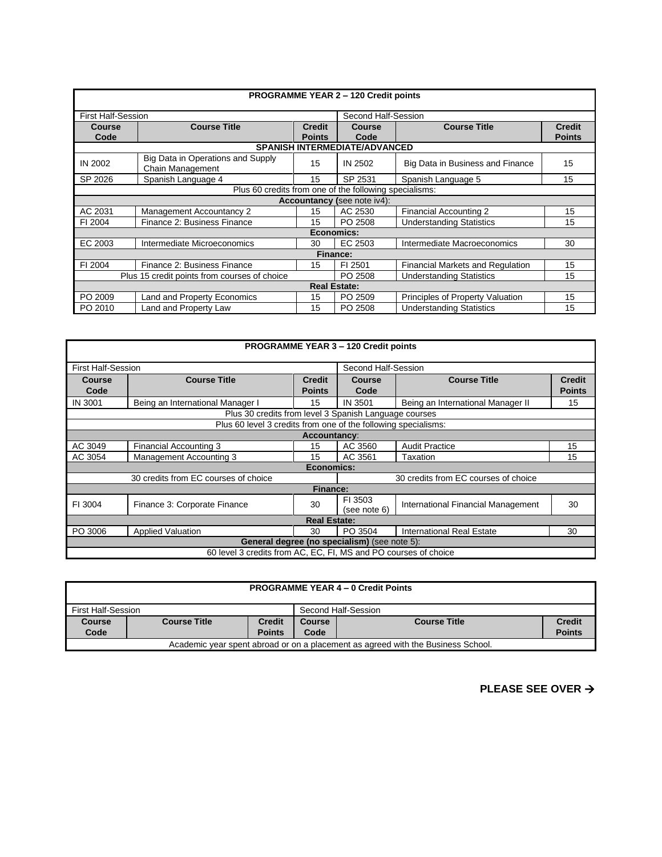| <b>PROGRAMME YEAR 2 - 120 Credit points</b>                                                |                                                        |                                |                                      |                                  |                                |  |  |  |
|--------------------------------------------------------------------------------------------|--------------------------------------------------------|--------------------------------|--------------------------------------|----------------------------------|--------------------------------|--|--|--|
|                                                                                            | Second Half-Session<br><b>First Half-Session</b>       |                                |                                      |                                  |                                |  |  |  |
| Course<br>Code                                                                             | <b>Course Title</b>                                    | <b>Credit</b><br><b>Points</b> | <b>Course</b><br>Code                | <b>Course Title</b>              | <b>Credit</b><br><b>Points</b> |  |  |  |
|                                                                                            |                                                        |                                | <b>SPANISH INTERMEDIATE/ADVANCED</b> |                                  |                                |  |  |  |
| IN 2002                                                                                    | Big Data in Operations and Supply<br>Chain Management  | 15                             | IN 2502                              | Big Data in Business and Finance | 15                             |  |  |  |
| SP 2026                                                                                    | Spanish Language 4                                     | 15                             | SP 2531                              | Spanish Language 5               | 15                             |  |  |  |
|                                                                                            | Plus 60 credits from one of the following specialisms: |                                |                                      |                                  |                                |  |  |  |
| <b>Accountancy (see note iv4):</b>                                                         |                                                        |                                |                                      |                                  |                                |  |  |  |
| AC 2031                                                                                    | <b>Management Accountancy 2</b>                        | 15                             | AC 2530                              | Financial Accounting 2           | 15                             |  |  |  |
| FI 2004                                                                                    | Finance 2: Business Finance                            | 15                             | PO 2508                              | <b>Understanding Statistics</b>  | 15                             |  |  |  |
|                                                                                            | Economics:                                             |                                |                                      |                                  |                                |  |  |  |
| EC 2003                                                                                    | Intermediate Microeconomics                            | 30                             | EC 2503                              | Intermediate Macroeconomics      | 30                             |  |  |  |
|                                                                                            |                                                        | Finance:                       |                                      |                                  |                                |  |  |  |
| FI 2004                                                                                    | Finance 2: Business Finance                            | 15                             | FI 2501                              | Financial Markets and Regulation | 15                             |  |  |  |
| Plus 15 credit points from courses of choice<br>PO 2508<br><b>Understanding Statistics</b> |                                                        |                                |                                      |                                  | 15                             |  |  |  |
|                                                                                            |                                                        | <b>Real Estate:</b>            |                                      |                                  |                                |  |  |  |
| PO 2009                                                                                    | Land and Property Economics                            | 15                             | PO 2509                              | Principles of Property Valuation | 15                             |  |  |  |
| PO 2010                                                                                    | Land and Property Law                                  | 15                             | PO 2508                              | <b>Understanding Statistics</b>  | 15                             |  |  |  |

| <b>PROGRAMME YEAR 3 - 120 Credit points</b>                     |                                                                |                 |                     |                                      |               |  |
|-----------------------------------------------------------------|----------------------------------------------------------------|-----------------|---------------------|--------------------------------------|---------------|--|
| <b>First Half-Session</b>                                       |                                                                |                 | Second Half-Session |                                      |               |  |
| Course                                                          | <b>Course Title</b>                                            | <b>Credit</b>   | <b>Course</b>       | <b>Course Title</b>                  | <b>Credit</b> |  |
| Code                                                            |                                                                | <b>Points</b>   | Code                |                                      | <b>Points</b> |  |
| IN 3001                                                         | Being an International Manager I                               | 15              | IN 3501             | Being an International Manager II    | 15            |  |
|                                                                 | Plus 30 credits from level 3 Spanish Language courses          |                 |                     |                                      |               |  |
|                                                                 | Plus 60 level 3 credits from one of the following specialisms: |                 |                     |                                      |               |  |
|                                                                 |                                                                | Accountancy:    |                     |                                      |               |  |
| AC 3049                                                         | <b>Financial Accounting 3</b>                                  | 15              | AC 3560             | <b>Audit Practice</b>                | 15            |  |
| AC 3054                                                         | Management Accounting 3                                        | 15              | AC 3561             | Taxation                             | 15            |  |
|                                                                 |                                                                | Economics:      |                     |                                      |               |  |
|                                                                 | 30 credits from EC courses of choice                           |                 |                     | 30 credits from EC courses of choice |               |  |
|                                                                 |                                                                | <b>Finance:</b> |                     |                                      |               |  |
| FI 3004                                                         | Finance 3: Corporate Finance                                   | 30              | FI 3503             | International Financial Management   | 30            |  |
|                                                                 |                                                                |                 | (see note 6)        |                                      |               |  |
| <b>Real Estate:</b>                                             |                                                                |                 |                     |                                      |               |  |
| PO 3006                                                         | <b>Applied Valuation</b>                                       | 30              | PO 3504             | International Real Estate            | 30            |  |
| General degree (no specialism) (see note 5):                    |                                                                |                 |                     |                                      |               |  |
| 60 level 3 credits from AC, EC, FI, MS and PO courses of choice |                                                                |                 |                     |                                      |               |  |

|                                                                                  | <b>PROGRAMME YEAR 4 - 0 Credit Points</b> |               |                                                       |  |               |  |
|----------------------------------------------------------------------------------|-------------------------------------------|---------------|-------------------------------------------------------|--|---------------|--|
| First Half-Session                                                               |                                           |               | Second Half-Session                                   |  |               |  |
| <b>Course</b>                                                                    | <b>Course Title</b>                       | <b>Credit</b> | <b>Credit</b><br><b>Course Title</b><br><b>Course</b> |  |               |  |
| Code                                                                             |                                           | <b>Points</b> | Code                                                  |  | <b>Points</b> |  |
| Academic year spent abroad or on a placement as agreed with the Business School. |                                           |               |                                                       |  |               |  |

**PLEASE SEE OVER** →